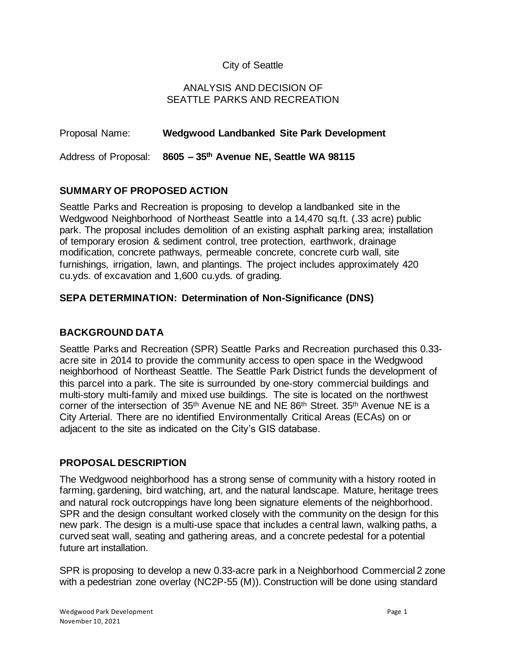## City of Seattle

#### ANALYSIS AND DECISION OF SEATTLE PARKS AND RECREATION

| Proposal Name:       | Wedgwood Landbanked Site Park Development |
|----------------------|-------------------------------------------|
| Address of Proposal: | 8605 - 35th Avenue NE, Seattle WA 98115   |

#### **SUMMARY OF PROPOSED ACTION**

Seattle Parks and Recreation is proposing to develop a landbanked site in the Wedgwood Neighborhood of Northeast Seattle into a 14,470 sq.ft. (.33 acre) public park. The proposal includes demolition of an existing asphalt parking area; installation of temporary erosion & sediment control, tree protection, earthwork, drainage modification, concrete pathways, permeable concrete, concrete curb wall, site furnishings, irrigation, lawn, and plantings. The project includes approximately 420 cu.yds. of excavation and 1,600 cu.yds. of grading*.*

#### **SEPA DETERMINATION: Determination of Non-Significance (DNS)**

### **BACKGROUND DATA**

Seattle Parks and Recreation (SPR) Seattle Parks and Recreation purchased this 0.33 acre site in 2014 to provide the community access to open space in the Wedgwood neighborhood of Northeast Seattle. The Seattle Park District funds the development of this parcel into a park. The site is surrounded by one-story commercial buildings and multi-story multi-family and mixed use buildings. The site is located on the northwest corner of the intersection of 35th Avenue NE and NE 86th Street. 35th Avenue NE is a City Arterial. There are no identified Environmentally Critical Areas (ECAs) on or adjacent to the site as indicated on the City's GIS database.

#### **PROPOSAL DESCRIPTION**

The Wedgwood neighborhood has a strong sense of community with a history rooted in farming, gardening, bird watching, art, and the natural landscape. Mature, heritage trees and natural rock outcroppings have long been signature elements of the neighborhood. SPR and the design consultant worked closely with the community on the design for this new park. The design is a multi-use space that includes a central lawn, walking paths, a curved seat wall, seating and gathering areas, and a concrete pedestal for a potential future art installation.

SPR is proposing to develop a new 0.33-acre park in a Neighborhood Commercial 2 zone with a pedestrian zone overlay (NC2P-55 (M)). Construction will be done using standard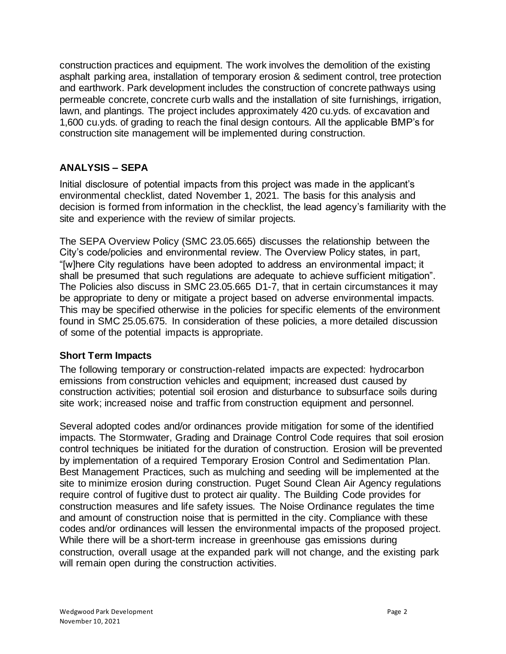construction practices and equipment. The work involves the demolition of the existing asphalt parking area, installation of temporary erosion & sediment control, tree protection and earthwork. Park development includes the construction of concrete pathways using permeable concrete, concrete curb walls and the installation of site furnishings, irrigation, lawn, and plantings. The project includes approximately 420 cu.yds. of excavation and 1,600 cu.yds. of grading to reach the final design contours. All the applicable BMP's for construction site management will be implemented during construction.

# **ANALYSIS – SEPA**

Initial disclosure of potential impacts from this project was made in the applicant's environmental checklist, dated November 1, 2021. The basis for this analysis and decision is formed from information in the checklist, the lead agency's familiarity with the site and experience with the review of similar projects.

The SEPA Overview Policy (SMC 23.05.665) discusses the relationship between the City's code/policies and environmental review. The Overview Policy states, in part, "[w]here City regulations have been adopted to address an environmental impact; it shall be presumed that such regulations are adequate to achieve sufficient mitigation". The Policies also discuss in SMC 23.05.665 D1-7, that in certain circumstances it may be appropriate to deny or mitigate a project based on adverse environmental impacts. This may be specified otherwise in the policies for specific elements of the environment found in SMC 25.05.675. In consideration of these policies, a more detailed discussion of some of the potential impacts is appropriate.

## **Short Term Impacts**

The following temporary or construction-related impacts are expected: hydrocarbon emissions from construction vehicles and equipment; increased dust caused by construction activities; potential soil erosion and disturbance to subsurface soils during site work; increased noise and traffic from construction equipment and personnel.

Several adopted codes and/or ordinances provide mitigation for some of the identified impacts. The Stormwater, Grading and Drainage Control Code requires that soil erosion control techniques be initiated for the duration of construction. Erosion will be prevented by implementation of a required Temporary Erosion Control and Sedimentation Plan. Best Management Practices, such as mulching and seeding will be implemented at the site to minimize erosion during construction. Puget Sound Clean Air Agency regulations require control of fugitive dust to protect air quality. The Building Code provides for construction measures and life safety issues. The Noise Ordinance regulates the time and amount of construction noise that is permitted in the city. Compliance with these codes and/or ordinances will lessen the environmental impacts of the proposed project. While there will be a short-term increase in greenhouse gas emissions during construction, overall usage at the expanded park will not change, and the existing park will remain open during the construction activities.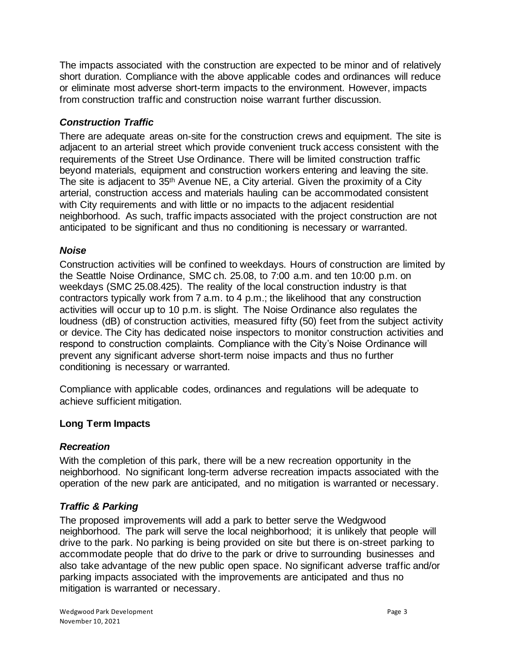The impacts associated with the construction are expected to be minor and of relatively short duration. Compliance with the above applicable codes and ordinances will reduce or eliminate most adverse short-term impacts to the environment. However, impacts from construction traffic and construction noise warrant further discussion.

# *Construction Traffic*

There are adequate areas on-site for the construction crews and equipment. The site is adjacent to an arterial street which provide convenient truck access consistent with the requirements of the Street Use Ordinance. There will be limited construction traffic beyond materials, equipment and construction workers entering and leaving the site. The site is adjacent to 35th Avenue NE, a City arterial. Given the proximity of a City arterial, construction access and materials hauling can be accommodated consistent with City requirements and with little or no impacts to the adjacent residential neighborhood. As such, traffic impacts associated with the project construction are not anticipated to be significant and thus no conditioning is necessary or warranted.

#### *Noise*

Construction activities will be confined to weekdays. Hours of construction are limited by the Seattle Noise Ordinance, SMC ch. 25.08, to 7:00 a.m. and ten 10:00 p.m. on weekdays (SMC 25.08.425). The reality of the local construction industry is that contractors typically work from 7 a.m. to 4 p.m.; the likelihood that any construction activities will occur up to 10 p.m. is slight. The Noise Ordinance also regulates the loudness (dB) of construction activities, measured fifty (50) feet from the subject activity or device. The City has dedicated noise inspectors to monitor construction activities and respond to construction complaints. Compliance with the City's Noise Ordinance will prevent any significant adverse short-term noise impacts and thus no further conditioning is necessary or warranted.

Compliance with applicable codes, ordinances and regulations will be adequate to achieve sufficient mitigation.

## **Long Term Impacts**

#### *Recreation*

With the completion of this park, there will be a new recreation opportunity in the neighborhood. No significant long-term adverse recreation impacts associated with the operation of the new park are anticipated, and no mitigation is warranted or necessary.

## *Traffic & Parking*

The proposed improvements will add a park to better serve the Wedgwood neighborhood. The park will serve the local neighborhood; it is unlikely that people will drive to the park. No parking is being provided on site but there is on-street parking to accommodate people that do drive to the park or drive to surrounding businesses and also take advantage of the new public open space. No significant adverse traffic and/or parking impacts associated with the improvements are anticipated and thus no mitigation is warranted or necessary.